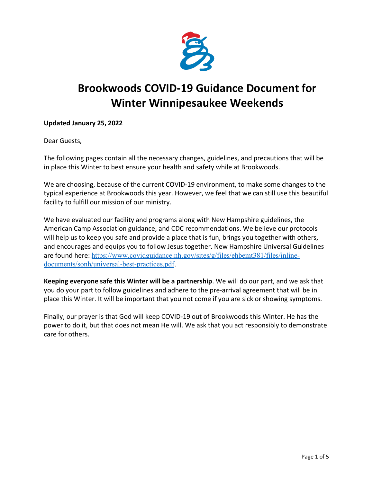

# **Brookwoods COVID-19 Guidance Document for Winter Winnipesaukee Weekends**

### **Updated January 25, 2022**

Dear Guests,

The following pages contain all the necessary changes, guidelines, and precautions that will be in place this Winter to best ensure your health and safety while at Brookwoods.

We are choosing, because of the current COVID-19 environment, to make some changes to the typical experience at Brookwoods this year. However, we feel that we can still use this beautiful facility to fulfill our mission of our ministry.

We have evaluated our facility and programs along with New Hampshire guidelines, the American Camp Association guidance, and CDC recommendations. We believe our protocols will help us to keep you safe and provide a place that is fun, brings you together with others, and encourages and equips you to follow Jesus together. New Hampshire Universal Guidelines are found here: https://www.covidguidance.nh.gov/sites/g/files/ehbemt381/files/inlinedocuments/sonh/universal-best-practices.pdf.

**Keeping everyone safe this Winter will be a partnership**. We will do our part, and we ask that you do your part to follow guidelines and adhere to the pre-arrival agreement that will be in place this Winter. It will be important that you not come if you are sick or showing symptoms.

Finally, our prayer is that God will keep COVID-19 out of Brookwoods this Winter. He has the power to do it, but that does not mean He will. We ask that you act responsibly to demonstrate care for others.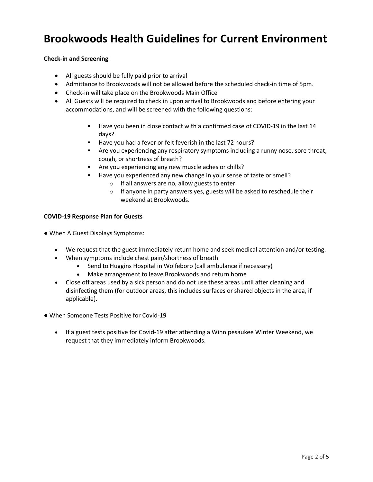## **Brookwoods Health Guidelines for Current Environment**

#### **Check-in and Screening**

- All guests should be fully paid prior to arrival
- Admittance to Brookwoods will not be allowed before the scheduled check-in time of 5pm.
- Check-in will take place on the Brookwoods Main Office
- All Guests will be required to check in upon arrival to Brookwoods and before entering your accommodations, and will be screened with the following questions:
	- **EXECT** Have you been in close contact with a confirmed case of COVID-19 in the last 14 days?
	- Have you had a fever or felt feverish in the last 72 hours?
	- § Are you experiencing any respiratory symptoms including a runny nose, sore throat, cough, or shortness of breath?
	- § Are you experiencing any new muscle aches or chills?
	- § Have you experienced any new change in your sense of taste or smell?
		- o If all answers are no, allow guests to enter
		- o If anyone in party answers yes, guests will be asked to reschedule their weekend at Brookwoods.

#### **COVID-19 Response Plan for Guests**

- When A Guest Displays Symptoms:
	- We request that the guest immediately return home and seek medical attention and/or testing.
	- When symptoms include chest pain/shortness of breath
		- Send to Huggins Hospital in Wolfeboro (call ambulance if necessary)
		- Make arrangement to leave Brookwoods and return home
	- Close off areas used by a sick person and do not use these areas until after cleaning and disinfecting them (for outdoor areas, this includes surfaces or shared objects in the area, if applicable).
- When Someone Tests Positive for Covid-19
	- If a guest tests positive for Covid-19 after attending a Winnipesaukee Winter Weekend, we request that they immediately inform Brookwoods.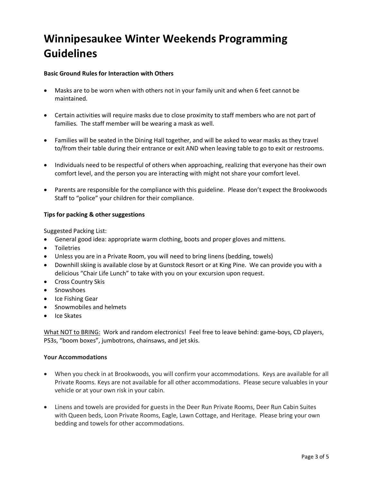## **Winnipesaukee Winter Weekends Programming Guidelines**

#### **Basic Ground Rules for Interaction with Others**

- Masks are to be worn when with others not in your family unit and when 6 feet cannot be maintained.
- Certain activities will require masks due to close proximity to staff members who are not part of families. The staff member will be wearing a mask as well.
- Families will be seated in the Dining Hall together, and will be asked to wear masks as they travel to/from their table during their entrance or exit AND when leaving table to go to exit or restrooms.
- Individuals need to be respectful of others when approaching, realizing that everyone has their own comfort level, and the person you are interacting with might not share your comfort level.
- Parents are responsible for the compliance with this guideline. Please don't expect the Brookwoods Staff to "police" your children for their compliance.

#### **Tips for packing & other suggestions**

Suggested Packing List:

- General good idea: appropriate warm clothing, boots and proper gloves and mittens.
- Toiletries
- Unless you are in a Private Room, you will need to bring linens (bedding, towels)
- Downhill skiing is available close by at Gunstock Resort or at King Pine. We can provide you with a delicious "Chair Life Lunch" to take with you on your excursion upon request.
- Cross Country Skis
- Snowshoes
- Ice Fishing Gear
- Snowmobiles and helmets
- Ice Skates

What NOT to BRING: Work and random electronics! Feel free to leave behind: game-boys, CD players, PS3s, "boom boxes", jumbotrons, chainsaws, and jet skis.

#### **Your Accommodations**

- When you check in at Brookwoods, you will confirm your accommodations. Keys are available for all Private Rooms. Keys are not available for all other accommodations. Please secure valuables in your vehicle or at your own risk in your cabin.
- Linens and towels are provided for guests in the Deer Run Private Rooms, Deer Run Cabin Suites with Queen beds, Loon Private Rooms, Eagle, Lawn Cottage, and Heritage. Please bring your own bedding and towels for other accommodations.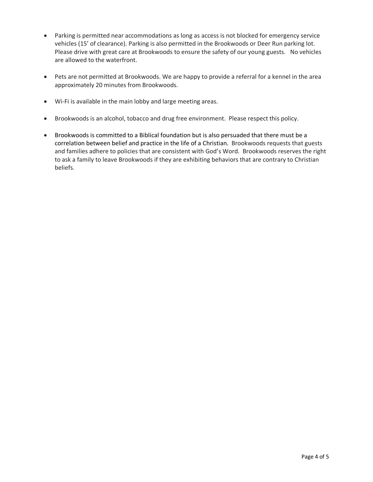- Parking is permitted near accommodations as long as access is not blocked for emergency service vehicles (15' of clearance). Parking is also permitted in the Brookwoods or Deer Run parking lot. Please drive with great care at Brookwoods to ensure the safety of our young guests. No vehicles are allowed to the waterfront.
- Pets are not permitted at Brookwoods. We are happy to provide a referral for a kennel in the area approximately 20 minutes from Brookwoods.
- Wi-Fi is available in the main lobby and large meeting areas.
- Brookwoods is an alcohol, tobacco and drug free environment. Please respect this policy.
- Brookwoods is committed to a Biblical foundation but is also persuaded that there must be a correlation between belief and practice in the life of a Christian. Brookwoods requests that guests and families adhere to policies that are consistent with God's Word. Brookwoods reserves the right to ask a family to leave Brookwoods if they are exhibiting behaviors that are contrary to Christian beliefs.